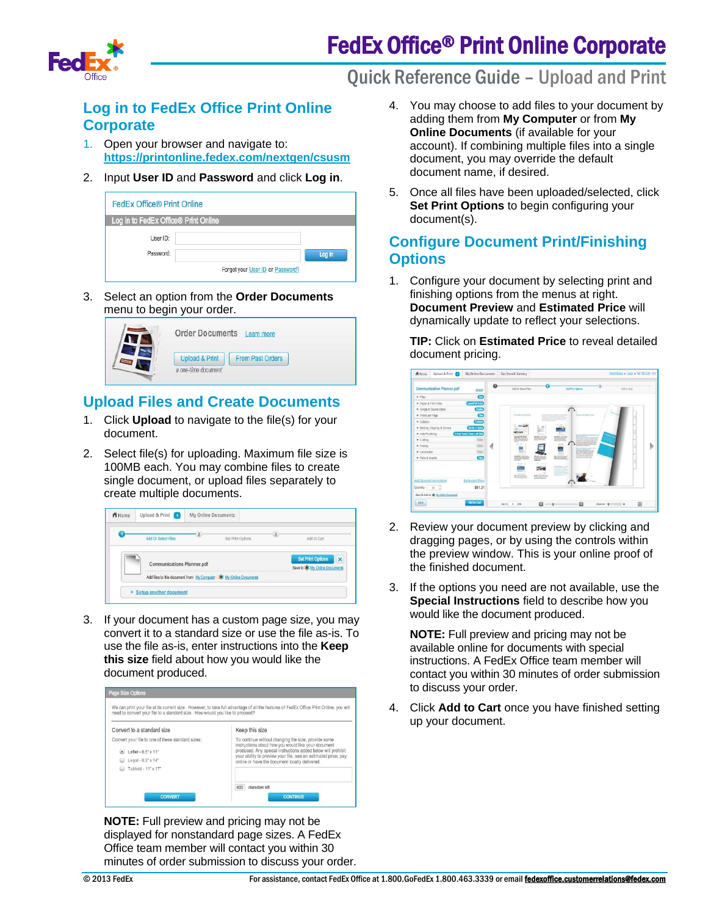# FedEx Office® Print Online Corporate



# **Log in to FedEx Office Print Online Corporate**

- 1. Open your browser and navigate to: **<https://printonline.fedex.com/nextgen/csusm>**
- 2. Input **User ID** and **Password** and click **Log in**.

| <b>FedEx Office® Print Online</b>    |                                  |
|--------------------------------------|----------------------------------|
| Log in to FedEx Office® Print Online |                                  |
| User ID:                             |                                  |
| Password:                            | Loa in                           |
|                                      | Forgot your User ID or Password? |

3. Select an option from the **Order Documents** menu to begin your order.



# **Upload Files and Create Documents**

- 1. Click **Upload** to navigate to the file(s) for your document.
- 2. Select file(s) for uploading. Maximum file size is 100MB each. You may combine files to create single document, or upload files separately to create multiple documents.

| Add Or Select Files               | Set Print Options                                                   | Add to Cart                                                        |                         |
|-----------------------------------|---------------------------------------------------------------------|--------------------------------------------------------------------|-------------------------|
| <b>Communications Planner.pdf</b> |                                                                     | <b>Set Print Options</b><br>Save to <b>3 K</b> My Online Documents | $\mathbf{\overline{X}}$ |
|                                   | Add files to this document from My Computer   * My Online Documents |                                                                    |                         |

3. If your document has a custom page size, you may convert it to a standard size or use the file as-is. To use the file as-is, enter instructions into the **Keep this size** field about how you would like the document produced.



**NOTE:** Full preview and pricing may not be displayed for nonstandard page sizes. A FedEx Office team member will contact you within 30 minutes of order submission to discuss your order.

# Quick Reference Guide – Upload and Print

- 4. You may choose to add files to your document by adding them from **My Computer** or from **My Online Documents** (if available for your account). If combining multiple files into a single document, you may override the default document name, if desired.
- 5. Once all files have been uploaded/selected, click **Set Print Options** to begin configuring your document(s).

# **Configure Document Print/Finishing Options**

1. Configure your document by selecting print and finishing options from the menus at right. **Document Preview** and **Estimated Price** will dynamically update to reflect your selections.

**TIP:** Click on **Estimated Price** to reveal detailed document pricing.



- 2. Review your document preview by clicking and dragging pages, or by using the controls within the preview window. This is your online proof of the finished document.
- 3. If the options you need are not available, use the **Special Instructions** field to describe how you would like the document produced.

**NOTE:** Full preview and pricing may not be available online for documents with special instructions. A FedEx Office team member will contact you within 30 minutes of order submission to discuss your order.

4. Click **Add to Cart** once you have finished setting up your document.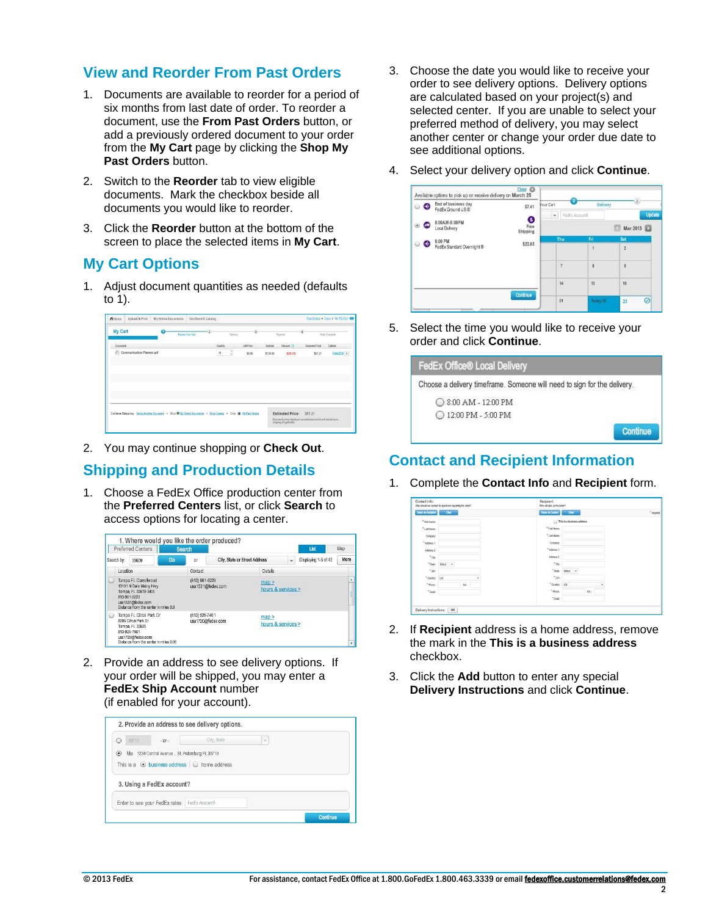#### **View and Reorder From Past Orders**

- 1. Documents are available to reorder for a period of six months from last date of order. To reorder a document, use the **From Past Orders** button, or add a previously ordered document to your order from the **My Cart** page by clicking the **Shop My Past Orders** button.
- 2. Switch to the **Reorder** tab to view eligible documents. Mark the checkbox beside all documents you would like to reorder.
- 3. Click the **Reorder** button at the bottom of the screen to place the selected items in **My Cart**.

# **My Cart Options**

1. Adjust document quantities as needed (defaults to 1).

| <b>My Cart</b>                                                                                                |  | <b>Roylow Your Cart</b> |         | Daluary | $\overline{\mathbf{3}}$ |          | Payment                 | $\left( 4\right)$     |         | Order Complete |
|---------------------------------------------------------------------------------------------------------------|--|-------------------------|---------|---------|-------------------------|----------|-------------------------|-----------------------|---------|----------------|
| Dogments                                                                                                      |  |                         | Qurtity |         | <b>Unit Price</b>       | Subtotal | Discount (?)            | <b>Document Total</b> |         | Options        |
| Communication Planner.pdf<br>m                                                                                |  |                         | 15      | ÷       | \$8.00                  | \$120.00 | \$(38.79)               |                       | \$81.21 | ViewEdd x      |
|                                                                                                               |  |                         |         |         |                         |          |                         |                       |         |                |
|                                                                                                               |  |                         |         |         |                         |          |                         |                       |         |                |
|                                                                                                               |  |                         |         |         |                         |          |                         |                       |         |                |
|                                                                                                               |  |                         |         |         |                         |          |                         |                       |         |                |
|                                                                                                               |  |                         |         |         |                         |          |                         |                       |         |                |
|                                                                                                               |  |                         |         |         |                         |          |                         |                       |         |                |
|                                                                                                               |  |                         |         |         |                         |          |                         |                       |         |                |
|                                                                                                               |  |                         |         |         |                         |          |                         |                       |         |                |
| Continue Shopping: Satup Anather Document . Shop * Hy Online Documents . Shop Catalog . Shop * Hy Past Orders |  |                         |         |         |                         |          | <b>Estimated Price:</b> | \$81.21               |         |                |

2. You may continue shopping or **Check Out**.

# **Shipping and Production Details**

1. Choose a FedEx Office production center from the **Preferred Centers** list, or click **Search** to access options for locating a center.

|            | <b>Preferred Centers</b>                                                                                                                             |           | <b>Search</b>  |                               |                             |   | List                 | Map         |
|------------|------------------------------------------------------------------------------------------------------------------------------------------------------|-----------|----------------|-------------------------------|-----------------------------|---|----------------------|-------------|
| Search by: | 33609                                                                                                                                                | <b>Go</b> | $\alpha$       | City, State or Street Address |                             | v | Displaying 1-5 of 42 | More        |
|            | Location                                                                                                                                             |           | Contact        |                               | Details                     |   |                      |             |
|            | Tampa FL Carrollwood<br>13101 N Dale Mabry Hwy<br>Tampa, FL 33618-2405<br>813-961-5223<br>usa1531@fedex.com<br>Distance from the center in miles 8.6 |           | (813) 961-5223 | usa1531@fedex.com             | man ><br>hours & services > |   |                      | J<br>÷<br>- |
|            | Tampa FL Citrus Park Dr<br>8206 Citrus Park Dr<br>Tampa, FL 33625<br>813-926-7461<br>usa1720@fedex.com<br>Distance from the center in miles 9.06     |           | (813) 926-7461 | usa1720@fedex.com             | map<br>hours & services >   |   |                      | ۰           |

2. Provide an address to see delivery options. If your order will be shipped, you may enter a **FedEx Ship Account** number (if enabled for your account).

| 33710                                                   | $-0f -$                                         | City, State | $\sim$ |  |
|---------------------------------------------------------|-------------------------------------------------|-------------|--------|--|
| $\circ$                                                 | Me 1234 Central Avenue, St. Petersburg FL 33710 |             |        |  |
| This is a $\odot$ business address $\odot$ home address |                                                 |             |        |  |
|                                                         |                                                 |             |        |  |
| 3. Using a FedEx account?                               |                                                 |             |        |  |

- 3. Choose the date you would like to receive your order to see delivery options. Delivery options are calculated based on your project(s) and selected center. If you are unable to select your preferred method of delivery, you may select another center or change your order due date to see additional options.
- 4. Select your delivery option and click **Continue**.

| $\epsilon$ | End of business day<br>FedEx Ground US ® | \$7.41                | Your Cart | <b>Delivery</b>       |                       |
|------------|------------------------------------------|-----------------------|-----------|-----------------------|-----------------------|
| ۰          | 8:00AM-5:00PM<br>Local Delivery          | €<br>Free<br>Shipping | $\;$      | FedEx Account#        | Update<br>Mar 2013    |
| G          | 6:00 PM<br>FedEx Standard Overnight ®    | \$23.65               | Thu       | Fri<br>$\overline{1}$ | Sat<br>$\overline{c}$ |
|            |                                          |                       | 7         | $\overline{B}$        | ×.<br>$\overline{9}$  |
|            |                                          |                       | 14        | $15 -$                | 16                    |
|            |                                          | Continue              | 21        | Today 22              | Q<br>23               |

5. Select the time you would like to receive your order and click **Continue**.

| FedEx Office® Local Delivery                                             |  |
|--------------------------------------------------------------------------|--|
| Choose a delivery timeframe. Someone will need to sign for the delivery. |  |
| ○ 8:00 AM - 12:00 PM                                                     |  |
| ◯ 12:00 PM - 5:00 PM                                                     |  |
|                                                                          |  |

#### **Contact and Recipient Information**

1. Complete the **Contact Info** and **Recipient** form.

| Contact Info:                  | Who should we contact for questions regarding the order? |   | Recipient:<br>Who will pick up the order? |                            |            |
|--------------------------------|----------------------------------------------------------|---|-------------------------------------------|----------------------------|------------|
| Same As Recipient <sup>2</sup> | Clear<br>×                                               |   | Same As Contact                           | Close 1                    | " required |
| * First Name:                  |                                                          |   |                                           | This is a business address |            |
| *Last Name:                    |                                                          |   | *First Name:                              |                            |            |
| Company:                       |                                                          |   | "LastName:                                |                            |            |
| " Address 1:                   |                                                          |   | Company.                                  |                            |            |
| Address 2:                     |                                                          |   | " Address 1:                              |                            |            |
| $^+$ CRy:                      |                                                          |   | Address 2:                                |                            |            |
|                                | *State: Select v                                         |   | $^*$ ch                                   |                            |            |
| $^+$ ZIP:                      |                                                          |   |                                           | *State Select <b>*</b>     |            |
| *Courty: US                    |                                                          | ٠ | $*_{\rm ZP}$                              |                            |            |
| * Phone:                       | Bd:                                                      |   | * Country.                                | US.<br>٠                   |            |
| $"$ Erush                      |                                                          |   | * Phone:                                  | DC:                        |            |
|                                |                                                          |   | *Erak                                     |                            |            |

- 2. If **Recipient** address is a home address, remove the mark in the **This is a business address** checkbox.
- 3. Click the **Add** button to enter any special **Delivery Instructions** and click **Continue**.